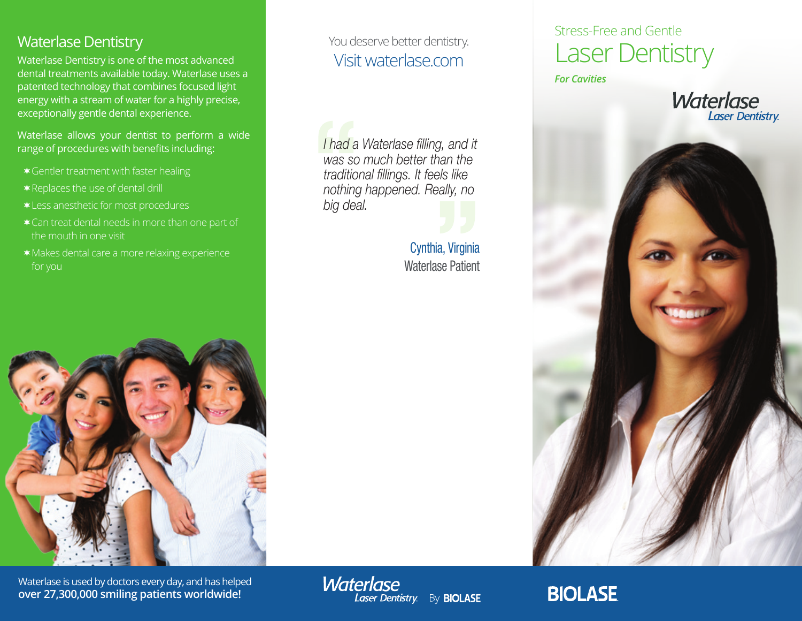### Waterlase Dentistry

Waterlase Dentistry is one of the most advanced dental treatments available today. Waterlase uses a patented technology that combines focused light energy with a stream of water for a highly precise, exceptionally gentle dental experience.

Waterlase allows your dentist to perform a wide range of procedures with benefits including:

- Gentler treatment with faster healing
- \* Replaces the use of dental drill
- Less anesthetic for most procedures
- Can treat dental needs in more than one part of the mouth in one visit
- Makes dental care a more relaxing experience



Waterlase is used by doctors every day, and has helped **over 27,300,000 smiling patients worldwide!**

You deserve better dentistry. Visit waterlase.com

*I had a Waterlase filling, and it was so much better than the traditional fillings. It feels like nothing happened. Really, no big deal.*

**Waterlase** 

Laser Dentistry By BIOLASE

Cynthia, Virginia Waterlase Patient

## Stress-Free and Gentle Laser Dentistry

*For Cavities*





# **BIOLASE**